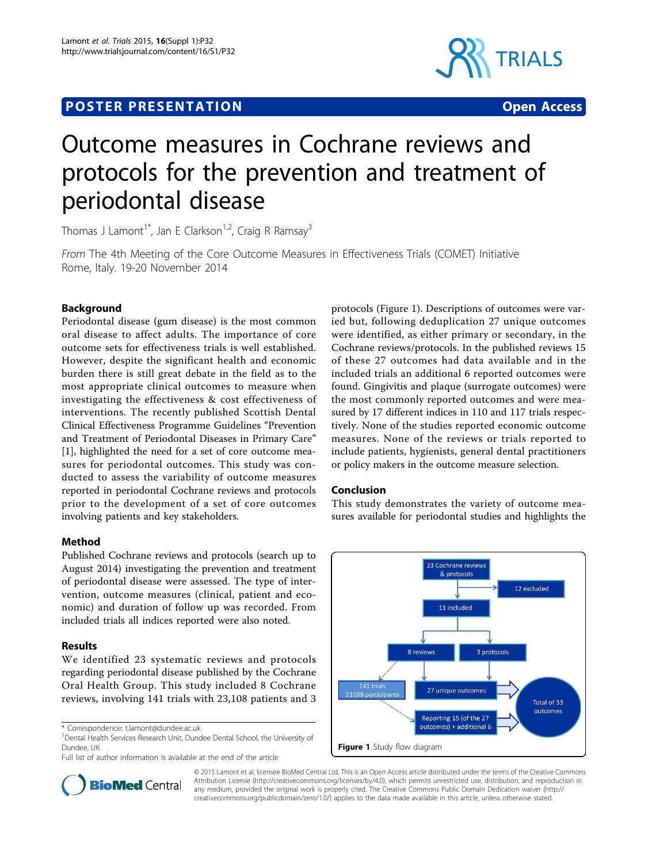## **POSTER PRESENTATION CONSUMING ACCESS**



# Outcome measures in Cochrane reviews and protocols for the prevention and treatment of periodontal disease

Thomas J Lamont<sup>1\*</sup>, Jan E Clarkson<sup>1,2</sup>, Craig R Ramsay<sup>3</sup>

From The 4th Meeting of the Core Outcome Measures in Effectiveness Trials (COMET) Initiative Rome, Italy. 19-20 November 2014

## Background

Periodontal disease (gum disease) is the most common oral disease to affect adults. The importance of core outcome sets for effectiveness trials is well established. However, despite the significant health and economic burden there is still great debate in the field as to the most appropriate clinical outcomes to measure when investigating the effectiveness & cost effectiveness of interventions. The recently published Scottish Dental Clinical Effectiveness Programme Guidelines "Prevention and Treatment of Periodontal Diseases in Primary Care" [[1\]](#page-1-0), highlighted the need for a set of core outcome measures for periodontal outcomes. This study was conducted to assess the variability of outcome measures reported in periodontal Cochrane reviews and protocols prior to the development of a set of core outcomes involving patients and key stakeholders.

## Method

Published Cochrane reviews and protocols (search up to August 2014) investigating the prevention and treatment of periodontal disease were assessed. The type of intervention, outcome measures (clinical, patient and economic) and duration of follow up was recorded. From included trials all indices reported were also noted.

## Results

We identified 23 systematic reviews and protocols regarding periodontal disease published by the Cochrane Oral Health Group. This study included 8 Cochrane reviews, involving 141 trials with 23,108 patients and 3

<sup>1</sup> Dental Health Services Research Unit, Dundee Dental School, the University of Dundee, UK

Full list of author information is available at the end of the article



## Conclusion

This study demonstrates the variety of outcome measures available for periodontal studies and highlights the





© 2015 Lamont et al; licensee BioMed Central Ltd. This is an Open Access article distributed under the terms of the Creative Commons Attribution License [\(http://creativecommons.org/licenses/by/4.0](http://creativecommons.org/licenses/by/4.0)), which permits unrestricted use, distribution, and reproduction in any medium, provided the original work is properly cited. The Creative Commons Public Domain Dedication waiver [\(http://](http://creativecommons.org/publicdomain/zero/1.0/) [creativecommons.org/publicdomain/zero/1.0/](http://creativecommons.org/publicdomain/zero/1.0/)) applies to the data made available in this article, unless otherwise stated.

<sup>\*</sup> Correspondence: [t.lamont@dundee.ac.uk](mailto:t.lamont@dundee.ac.uk)